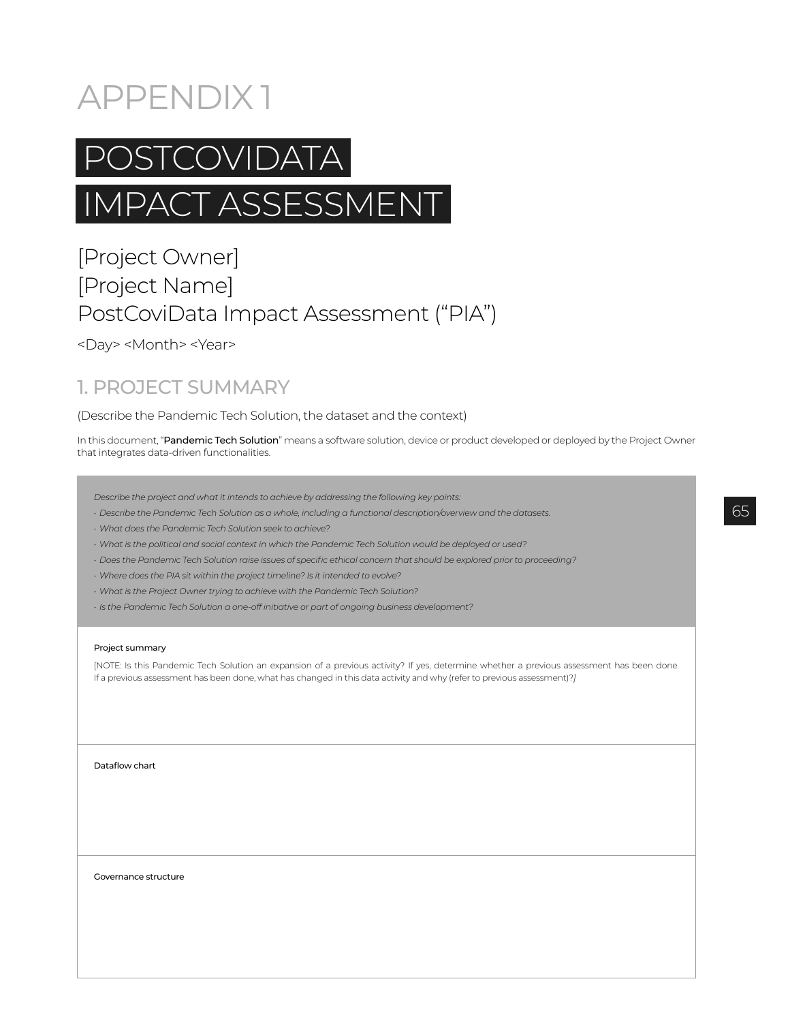# APPENDIX 1



# IMPACT ASSESSMENT

# [Project Owner] [Project Name] PostCoviData Impact Assessment ("PIA")

<Day> <Month> <Year>

# 1. PROJECT SUMMARY

(Describe the Pandemic Tech Solution, the dataset and the context)

In this document, "Pandemic Tech Solution" means a software solution, device or product developed or deployed by the Project Owner that integrates data-driven functionalities.

- *Describe the project and what it intends to achieve by addressing the following key points:*
- *Describe the Pandemic Tech Solution as a whole, including a functional description/overview and the datasets.*
- *What does the Pandemic Tech Solution seek to achieve?*
- *What is the political and social context in which the Pandemic Tech Solution would be deployed or used?*
- *Does the Pandemic Tech Solution raise issues of specific ethical concern that should be explored prior to proceeding?*
- *Where does the PIA sit within the project timeline? Is it intended to evolve?*
- *What is the Project Owner trying to achieve with the Pandemic Tech Solution?*
- *Is the Pandemic Tech Solution a one-off initiative or part of ongoing business development?*

#### Project summary

[NOTE: Is this Pandemic Tech Solution an expansion of a previous activity? If yes, determine whether a previous assessment has been done. If a previous assessment has been done, what has changed in this data activity and why (refer to previous assessment)?*]*

Dataflow chart

Governance structure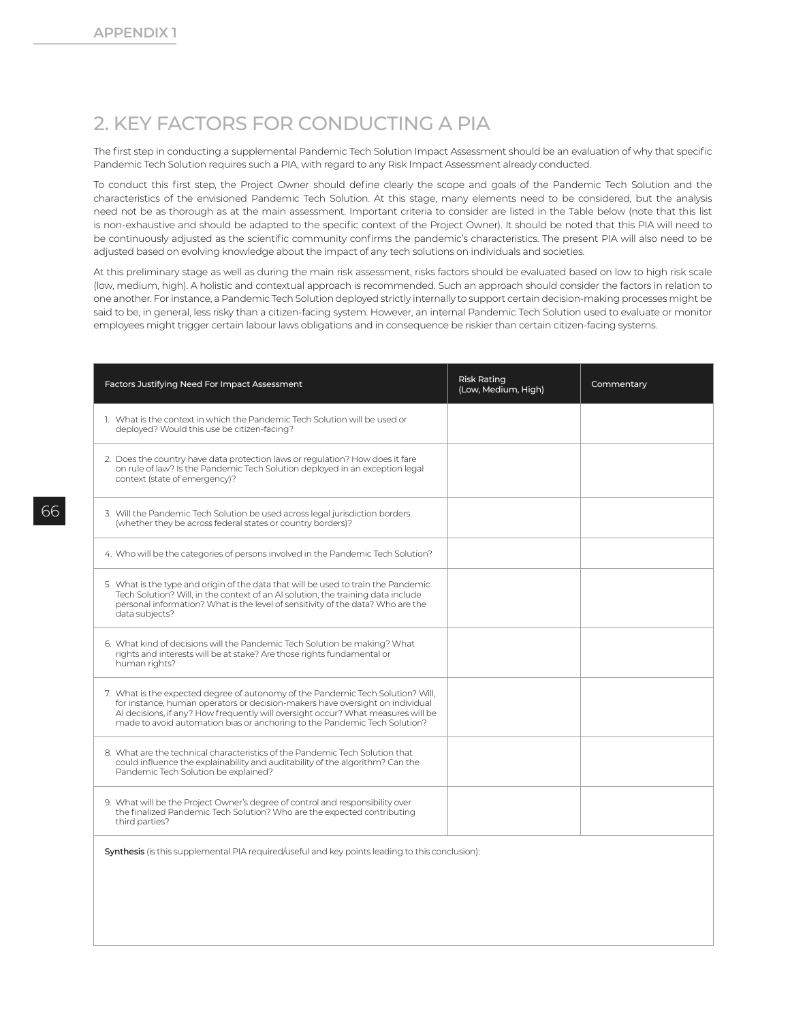## 2. KEY FACTORS FOR CONDUCTING A PIA

The first step in conducting a supplemental Pandemic Tech Solution Impact Assessment should be an evaluation of why that specific Pandemic Tech Solution requires such a PIA, with regard to any Risk Impact Assessment already conducted.

To conduct this first step, the Project Owner should define clearly the scope and goals of the Pandemic Tech Solution and the characteristics of the envisioned Pandemic Tech Solution. At this stage, many elements need to be considered, but the analysis need not be as thorough as at the main assessment. Important criteria to consider are listed in the Table below (note that this list is non-exhaustive and should be adapted to the specific context of the Project Owner). It should be noted that this PIA will need to be continuously adjusted as the scientific community confirms the pandemic's characteristics. The present PIA will also need to be adjusted based on evolving knowledge about the impact of any tech solutions on individuals and societies.

At this preliminary stage as well as during the main risk assessment, risks factors should be evaluated based on low to high risk scale (low, medium, high). A holistic and contextual approach is recommended. Such an approach should consider the factors in relation to one another. For instance, a Pandemic Tech Solution deployed strictly internally to support certain decision-making processes might be said to be, in general, less risky than a citizen-facing system. However, an internal Pandemic Tech Solution used to evaluate or monitor employees might trigger certain labour laws obligations and in consequence be riskier than certain citizen-facing systems.

| Factors Justifying Need For Impact Assessment                                                                                                                                                                                                                                                                                     | <b>Risk Rating</b><br>(Low, Medium, High) | Commentary |
|-----------------------------------------------------------------------------------------------------------------------------------------------------------------------------------------------------------------------------------------------------------------------------------------------------------------------------------|-------------------------------------------|------------|
| 1. What is the context in which the Pandemic Tech Solution will be used or<br>deployed? Would this use be citizen-facing?                                                                                                                                                                                                         |                                           |            |
| 2. Does the country have data protection laws or regulation? How does it fare<br>on rule of law? Is the Pandemic Tech Solution deployed in an exception legal<br>context (state of emergency)?                                                                                                                                    |                                           |            |
| 3. Will the Pandemic Tech Solution be used across legal jurisdiction borders<br>(whether they be across federal states or country borders)?                                                                                                                                                                                       |                                           |            |
| 4. Who will be the categories of persons involved in the Pandemic Tech Solution?                                                                                                                                                                                                                                                  |                                           |            |
| 5. What is the type and origin of the data that will be used to train the Pandemic<br>Tech Solution? Will, in the context of an AI solution, the training data include<br>personal information? What is the level of sensitivity of the data? Who are the<br>data subjects?                                                       |                                           |            |
| 6. What kind of decisions will the Pandemic Tech Solution be making? What<br>rights and interests will be at stake? Are those rights fundamental or<br>human rights?                                                                                                                                                              |                                           |            |
| 7. What is the expected degree of autonomy of the Pandemic Tech Solution? Will,<br>for instance, human operators or decision-makers have oversight on individual<br>Al decisions, if any? How frequently will oversight occur? What measures will be<br>made to avoid automation bias or anchoring to the Pandemic Tech Solution? |                                           |            |
| 8. What are the technical characteristics of the Pandemic Tech Solution that<br>could influence the explainability and auditability of the algorithm? Can the<br>Pandemic Tech Solution be explained?                                                                                                                             |                                           |            |
| 9. What will be the Project Owner's degree of control and responsibility over<br>the finalized Pandemic Tech Solution? Who are the expected contributing<br>third parties?                                                                                                                                                        |                                           |            |
| Synthesis (is this supplemental PIA required/useful and key points leading to this conclusion):                                                                                                                                                                                                                                   |                                           |            |
|                                                                                                                                                                                                                                                                                                                                   |                                           |            |
|                                                                                                                                                                                                                                                                                                                                   |                                           |            |

66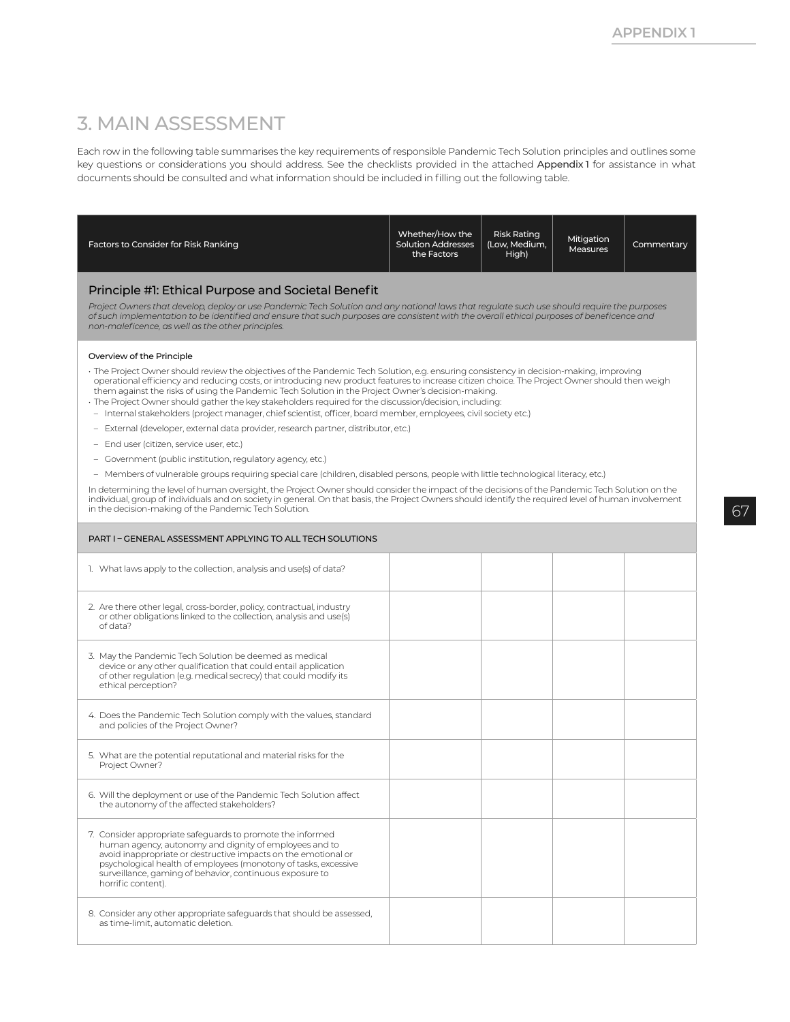## 3. MAIN ASSESSMENT

Each row in the following table summarises the key requirements of responsible Pandemic Tech Solution principles and outlines some key questions or considerations you should address. See the checklists provided in the attached Appendix 1 for assistance in what documents should be consulted and what information should be included in filling out the following table.

| Factors to Consider for Risk Ranking                                                                                                                                                                                                                                                                                                                                                          | Whether/How the<br><b>Solution Addresses</b><br>the Factors | <b>Risk Rating</b><br>(Low, Medium,<br>High) | Mitigation<br><b>Measures</b> | Commentary |
|-----------------------------------------------------------------------------------------------------------------------------------------------------------------------------------------------------------------------------------------------------------------------------------------------------------------------------------------------------------------------------------------------|-------------------------------------------------------------|----------------------------------------------|-------------------------------|------------|
| Principle #1: Ethical Purpose and Societal Benefit<br>Project Owners that develop, deploy or use Pandemic Tech Solution and any national laws that regulate such use should require the purposes                                                                                                                                                                                              |                                                             |                                              |                               |            |
| of such implementation to be identified and ensure that such purposes are consistent with the overall ethical purposes of beneficence and<br>non-maleficence, as well as the other principles.                                                                                                                                                                                                |                                                             |                                              |                               |            |
| Overview of the Principle                                                                                                                                                                                                                                                                                                                                                                     |                                                             |                                              |                               |            |
| The Project Owner should review the objectives of the Pandemic Tech Solution, e.g. ensuring consistency in decision-making, improving<br>operational efficiency and reducing costs, or introducing new product features to increase citizen choice. The Project Owner should then weigh<br>them against the risks of using the Pandemic Tech Solution in the Project Owner's decision-making. |                                                             |                                              |                               |            |
| · The Project Owner should gather the key stakeholders required for the discussion/decision, including:<br>- Internal stakeholders (project manager, chief scientist, officer, board member, employees, civil society etc.)                                                                                                                                                                   |                                                             |                                              |                               |            |
| - External (developer, external data provider, research partner, distributor, etc.)                                                                                                                                                                                                                                                                                                           |                                                             |                                              |                               |            |
| - End user (citizen, service user, etc.)                                                                                                                                                                                                                                                                                                                                                      |                                                             |                                              |                               |            |
| - Government (public institution, regulatory agency, etc.)                                                                                                                                                                                                                                                                                                                                    |                                                             |                                              |                               |            |
| - Members of vulnerable groups requiring special care (children, disabled persons, people with little technological literacy, etc.)                                                                                                                                                                                                                                                           |                                                             |                                              |                               |            |
| In determining the level of human oversight, the Project Owner should consider the impact of the decisions of the Pandemic Tech Solution on the<br>individual, group of individuals and on society in general. On that basis, the Project Owners should identify the required level of human involvement<br>in the decision-making of the Pandemic Tech Solution.                             |                                                             |                                              |                               |            |
| PART I - GENERAL ASSESSMENT APPLYING TO ALL TECH SOLUTIONS                                                                                                                                                                                                                                                                                                                                    |                                                             |                                              |                               |            |
| 1. What laws apply to the collection, analysis and use(s) of data?                                                                                                                                                                                                                                                                                                                            |                                                             |                                              |                               |            |
| 2. Are there other legal, cross-border, policy, contractual, industry<br>or other obligations linked to the collection, analysis and use(s)<br>of data?                                                                                                                                                                                                                                       |                                                             |                                              |                               |            |
| 3. May the Pandemic Tech Solution be deemed as medical<br>device or any other qualification that could entail application<br>of other regulation (e.g. medical secrecy) that could modify its<br>ethical perception?                                                                                                                                                                          |                                                             |                                              |                               |            |
| 4. Does the Pandemic Tech Solution comply with the values, standard<br>and policies of the Project Owner?                                                                                                                                                                                                                                                                                     |                                                             |                                              |                               |            |
| 5. What are the potential reputational and material risks for the<br>Project Owner?                                                                                                                                                                                                                                                                                                           |                                                             |                                              |                               |            |
| 6. Will the deployment or use of the Pandemic Tech Solution affect<br>the autonomy of the affected stakeholders?                                                                                                                                                                                                                                                                              |                                                             |                                              |                               |            |
| 7. Consider appropriate safeguards to promote the informed<br>human agency, autonomy and dignity of employees and to<br>avoid inappropriate or destructive impacts on the emotional or<br>psychological health of employees (monotony of tasks, excessive<br>surveillance, gaming of behavior, continuous exposure to<br>horrific content).                                                   |                                                             |                                              |                               |            |
| 8. Consider any other appropriate safeguards that should be assessed,<br>as time-limit, automatic deletion.                                                                                                                                                                                                                                                                                   |                                                             |                                              |                               |            |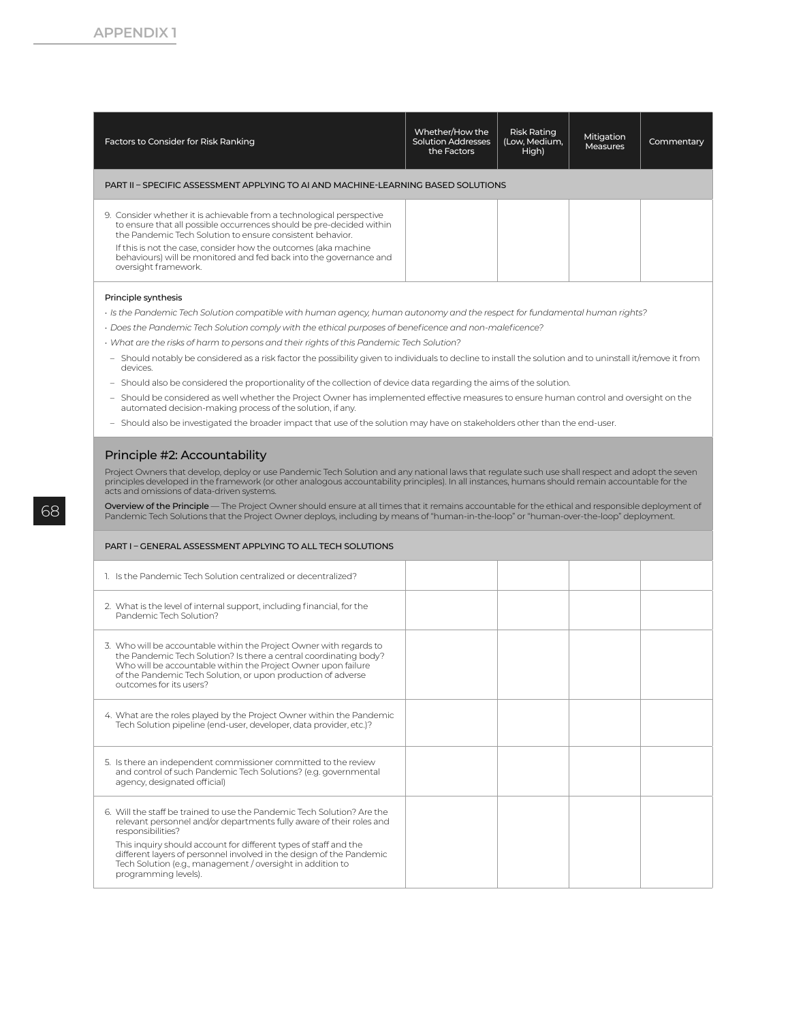| Factors to Consider for Risk Ranking                                                                                                                                                                       | Whether/How the<br><b>Solution Addresses</b><br>the Factors | <b>Risk Rating</b><br>(Low, Medium,<br>High) | Mitigation<br>Measures | Commentary |
|------------------------------------------------------------------------------------------------------------------------------------------------------------------------------------------------------------|-------------------------------------------------------------|----------------------------------------------|------------------------|------------|
| PART II - SPECIFIC ASSESSMENT APPLYING TO AI AND MACHINE-LEARNING BASED SOLUTIONS                                                                                                                          |                                                             |                                              |                        |            |
| 9. Consider whether it is achievable from a technological perspective<br>to ensure that all possible occurrences should be pre-decided within<br>the Pandemic Tech Solution to ensure consistent behavior. |                                                             |                                              |                        |            |
| If this is not the case, consider how the outcomes (aka machine<br>behaviours) will be monitored and fed back into the governance and<br>oversight framework.                                              |                                                             |                                              |                        |            |
| Principle synthesis                                                                                                                                                                                        |                                                             |                                              |                        |            |
| · Is the Pandemic Tech Solution compatible with human agency, human autonomy and the respect for fundamental human rights?                                                                                 |                                                             |                                              |                        |            |
| · Does the Pandemic Tech Solution comply with the ethical purposes of beneficence and non-maleficence?                                                                                                     |                                                             |                                              |                        |            |
| · What are the risks of harm to persons and their rights of this Pandemic Tech Solution?                                                                                                                   |                                                             |                                              |                        |            |
| - Should notably be considered as a risk factor the possibility given to individuals to decline to install the solution and to uninstall it/remove it from<br>devices.                                     |                                                             |                                              |                        |            |
| Should also be considered the proportionality of the collection of device data regarding the aims of the solution.<br>$\overline{\phantom{a}}$                                                             |                                                             |                                              |                        |            |
| - Should be considered as well whether the Project Owner has implemented effective measures to ensure human control and oversight on the<br>automated decision-making process of the solution, if any.     |                                                             |                                              |                        |            |

– Should also be investigated the broader impact that use of the solution may have on stakeholders other than the end-user.

#### Principle #2: Accountability

Project Owners that develop, deploy or use Pandemic Tech Solution and any national laws that regulate such use shall respect and adopt the seven<br>principles developed in the framework (or other analogous accountability prin

Overview of the Principle — The Project Owner should ensure at all times that it remains accountable for the ethical and responsible deployment of Pandemic Tech Solutions that the Project Owner deploys, including by means of "human-in-the-loop" or "human-over-the-loop" deployment.

#### PART I – GENERAL ASSESSMENT APPLYING TO ALL TECH SOLUTIONS

| 1. Is the Pandemic Tech Solution centralized or decentralized?                                                                                                                                                                                                                                                                                                                                         |  |  |
|--------------------------------------------------------------------------------------------------------------------------------------------------------------------------------------------------------------------------------------------------------------------------------------------------------------------------------------------------------------------------------------------------------|--|--|
| 2. What is the level of internal support, including financial, for the<br>Pandemic Tech Solution?                                                                                                                                                                                                                                                                                                      |  |  |
| 3. Who will be accountable within the Project Owner with regards to<br>the Pandemic Tech Solution? Is there a central coordinating body?<br>Who will be accountable within the Project Owner upon failure<br>of the Pandemic Tech Solution, or upon production of adverse<br>outcomes for its users?                                                                                                   |  |  |
| 4. What are the roles played by the Project Owner within the Pandemic<br>Tech Solution pipeline (end-user, developer, data provider, etc.)?                                                                                                                                                                                                                                                            |  |  |
| 5. Is there an independent commissioner committed to the review<br>and control of such Pandemic Tech Solutions? (e.g. governmental<br>agency, designated official)                                                                                                                                                                                                                                     |  |  |
| 6. Will the staff be trained to use the Pandemic Tech Solution? Are the<br>relevant personnel and/or departments fully aware of their roles and<br>responsibilities?<br>This inquiry should account for different types of staff and the<br>different layers of personnel involved in the design of the Pandemic<br>Tech Solution (e.g., management / oversight in addition to<br>programming levels). |  |  |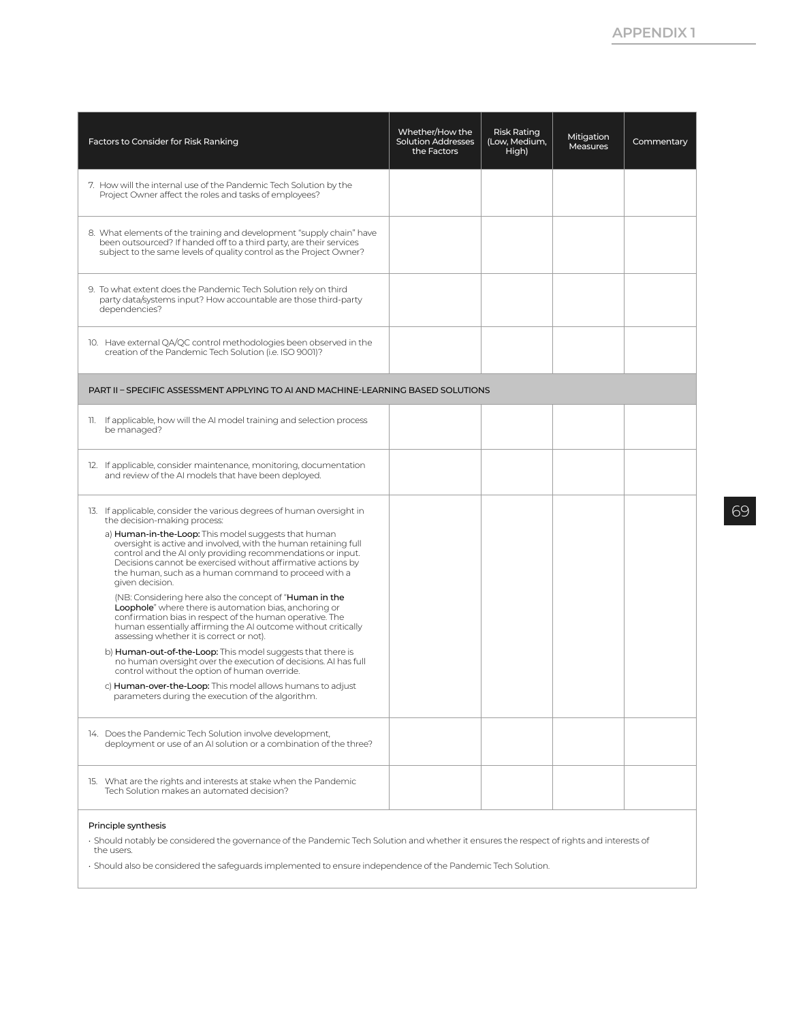| Factors to Consider for Risk Ranking                                                                                                                                                                                                                                                                                                                                                                                                                                                                                                                                                                                                                                                                                                                                                                                                                                                                                                                                                                                                                                                                                      | Whether/How the<br><b>Solution Addresses</b><br>the Factors | <b>Risk Rating</b><br>(Low, Medium,<br>High) | Mitigation<br><b>Measures</b> | Commentary |
|---------------------------------------------------------------------------------------------------------------------------------------------------------------------------------------------------------------------------------------------------------------------------------------------------------------------------------------------------------------------------------------------------------------------------------------------------------------------------------------------------------------------------------------------------------------------------------------------------------------------------------------------------------------------------------------------------------------------------------------------------------------------------------------------------------------------------------------------------------------------------------------------------------------------------------------------------------------------------------------------------------------------------------------------------------------------------------------------------------------------------|-------------------------------------------------------------|----------------------------------------------|-------------------------------|------------|
| 7. How will the internal use of the Pandemic Tech Solution by the<br>Project Owner affect the roles and tasks of employees?                                                                                                                                                                                                                                                                                                                                                                                                                                                                                                                                                                                                                                                                                                                                                                                                                                                                                                                                                                                               |                                                             |                                              |                               |            |
| 8. What elements of the training and development "supply chain" have<br>been outsourced? If handed off to a third party, are their services<br>subject to the same levels of quality control as the Project Owner?                                                                                                                                                                                                                                                                                                                                                                                                                                                                                                                                                                                                                                                                                                                                                                                                                                                                                                        |                                                             |                                              |                               |            |
| 9. To what extent does the Pandemic Tech Solution rely on third<br>party data/systems input? How accountable are those third-party<br>dependencies?                                                                                                                                                                                                                                                                                                                                                                                                                                                                                                                                                                                                                                                                                                                                                                                                                                                                                                                                                                       |                                                             |                                              |                               |            |
| 10. Have external QA/QC control methodologies been observed in the<br>creation of the Pandemic Tech Solution (i.e. ISO 9001)?                                                                                                                                                                                                                                                                                                                                                                                                                                                                                                                                                                                                                                                                                                                                                                                                                                                                                                                                                                                             |                                                             |                                              |                               |            |
| PART II - SPECIFIC ASSESSMENT APPLYING TO AI AND MACHINE-LEARNING BASED SOLUTIONS                                                                                                                                                                                                                                                                                                                                                                                                                                                                                                                                                                                                                                                                                                                                                                                                                                                                                                                                                                                                                                         |                                                             |                                              |                               |            |
| 11. If applicable, how will the AI model training and selection process<br>be managed?                                                                                                                                                                                                                                                                                                                                                                                                                                                                                                                                                                                                                                                                                                                                                                                                                                                                                                                                                                                                                                    |                                                             |                                              |                               |            |
| 12. If applicable, consider maintenance, monitoring, documentation<br>and review of the AI models that have been deployed.                                                                                                                                                                                                                                                                                                                                                                                                                                                                                                                                                                                                                                                                                                                                                                                                                                                                                                                                                                                                |                                                             |                                              |                               |            |
| 13. If applicable, consider the various degrees of human oversight in<br>the decision-making process:<br>a) Human-in-the-Loop: This model suggests that human<br>oversight is active and involved, with the human retaining full<br>control and the AI only providing recommendations or input.<br>Decisions cannot be exercised without affirmative actions by<br>the human, such as a human command to proceed with a<br>given decision.<br>(NB: Considering here also the concept of " <b>Human in the</b><br>Loophole" where there is automation bias, anchoring or<br>confirmation bias in respect of the human operative. The<br>human essentially affirming the AI outcome without critically<br>assessing whether it is correct or not).<br>b) <b>Human-out-of-the-Loop:</b> This model suggests that there is<br>no human oversight over the execution of decisions. AI has full<br>control without the option of human override.<br>c) Human-over-the-Loop: This model allows humans to adjust<br>parameters during the execution of the algorithm.<br>14. Does the Pandemic Tech Solution involve development, |                                                             |                                              |                               |            |
| deployment or use of an AI solution or a combination of the three?                                                                                                                                                                                                                                                                                                                                                                                                                                                                                                                                                                                                                                                                                                                                                                                                                                                                                                                                                                                                                                                        |                                                             |                                              |                               |            |
| 15. What are the rights and interests at stake when the Pandemic<br>Tech Solution makes an automated decision?                                                                                                                                                                                                                                                                                                                                                                                                                                                                                                                                                                                                                                                                                                                                                                                                                                                                                                                                                                                                            |                                                             |                                              |                               |            |

#### Principle synthesis

• Should notably be considered the governance of the Pandemic Tech Solution and whether it ensures the respect of rights and interests of the users.

• Should also be considered the safeguards implemented to ensure independence of the Pandemic Tech Solution.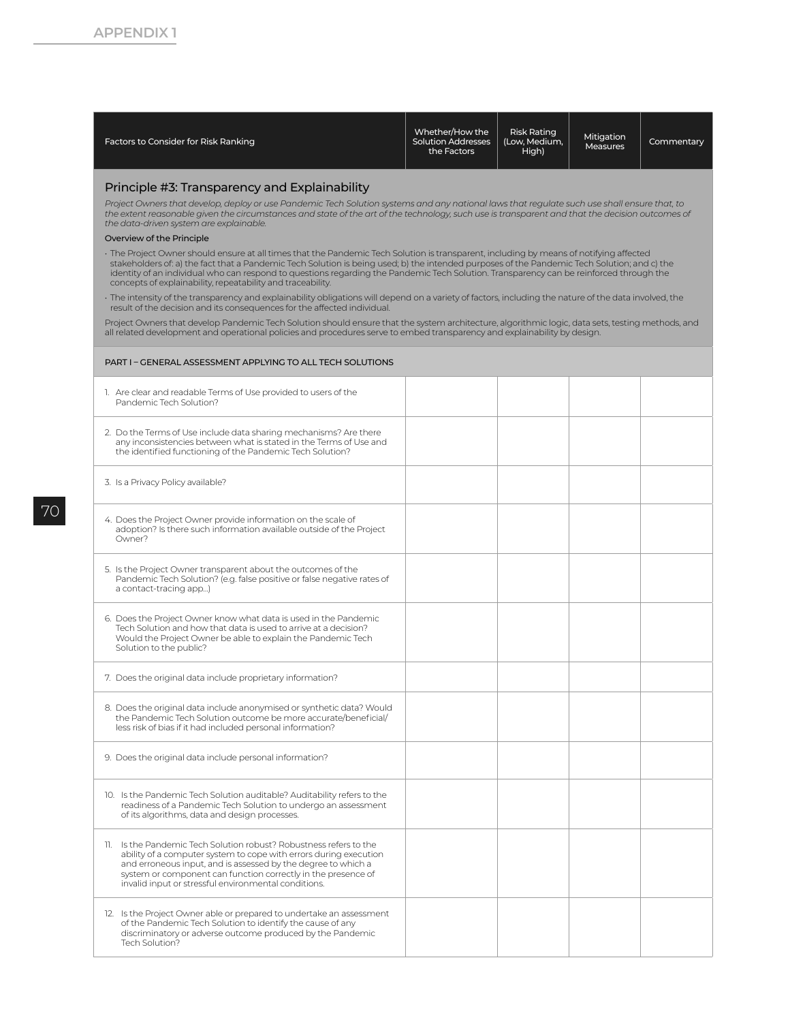| Factors to Consider for Risk Ranking | Whether/How the<br><b>Solution Addresses</b> | Risk Rating<br>(Low. Medium. | Mitigation<br><b>Measures</b> | Commentary |
|--------------------------------------|----------------------------------------------|------------------------------|-------------------------------|------------|
|                                      | the Factors                                  | High)                        |                               |            |

#### Principle #3: Transparency and Explainability

*Project Owners that develop, deploy or use Pandemic Tech Solution systems and any national laws that regulate such use shall ensure that, to the extent reasonable given the circumstances and state of the art of the technology, such use is transparent and that the decision outcomes of the data-driven system are explainable.*

#### Overview of the Principle

The Project Owner should ensure at all times that the Pandemic Tech Solution is transparent, including by means of notifying affected<br>stakeholders of: a) the fact that a Pandemic Tech Solution is being used; b) the intende concepts of explainability, repeatability and traceability.

• The intensity of the transparency and explainability obligations will depend on a variety of factors, including the nature of the data involved, the result of the decision and its consequences for the affected individual.

Project Owners that develop Pandemic Tech Solution should ensure that the system architecture, algorithmic logic, data sets, testing methods, and all related development and operational policies and procedures serve to embed transparency and explainability by design.

| PART I - GENERAL ASSESSMENT APPLYING TO ALL TECH SOLUTIONS                                                                                                                                                                                                                                                                        |  |  |
|-----------------------------------------------------------------------------------------------------------------------------------------------------------------------------------------------------------------------------------------------------------------------------------------------------------------------------------|--|--|
| 1. Are clear and readable Terms of Use provided to users of the<br>Pandemic Tech Solution?                                                                                                                                                                                                                                        |  |  |
| 2. Do the Terms of Use include data sharing mechanisms? Are there<br>any inconsistencies between what is stated in the Terms of Use and<br>the identified functioning of the Pandemic Tech Solution?                                                                                                                              |  |  |
| 3. Is a Privacy Policy available?                                                                                                                                                                                                                                                                                                 |  |  |
| 4. Does the Project Owner provide information on the scale of<br>adoption? Is there such information available outside of the Project<br>Owner?                                                                                                                                                                                   |  |  |
| 5. Is the Project Owner transparent about the outcomes of the<br>Pandemic Tech Solution? (e.g. false positive or false negative rates of<br>a contact-tracing app)                                                                                                                                                                |  |  |
| 6. Does the Project Owner know what data is used in the Pandemic<br>Tech Solution and how that data is used to arrive at a decision?<br>Would the Project Owner be able to explain the Pandemic Tech<br>Solution to the public?                                                                                                   |  |  |
| 7. Does the original data include proprietary information?                                                                                                                                                                                                                                                                        |  |  |
| 8. Does the original data include anonymised or synthetic data? Would<br>the Pandemic Tech Solution outcome be more accurate/beneficial/<br>less risk of bias if it had included personal information?                                                                                                                            |  |  |
| 9. Does the original data include personal information?                                                                                                                                                                                                                                                                           |  |  |
| 10. Is the Pandemic Tech Solution auditable? Auditability refers to the<br>readiness of a Pandemic Tech Solution to undergo an assessment<br>of its algorithms, data and design processes.                                                                                                                                        |  |  |
| 11. Is the Pandemic Tech Solution robust? Robustness refers to the<br>ability of a computer system to cope with errors during execution<br>and erroneous input, and is assessed by the degree to which a<br>system or component can function correctly in the presence of<br>invalid input or stressful environmental conditions. |  |  |
| 12. Is the Project Owner able or prepared to undertake an assessment<br>of the Pandemic Tech Solution to identify the cause of any<br>discriminatory or adverse outcome produced by the Pandemic<br>Tech Solution?                                                                                                                |  |  |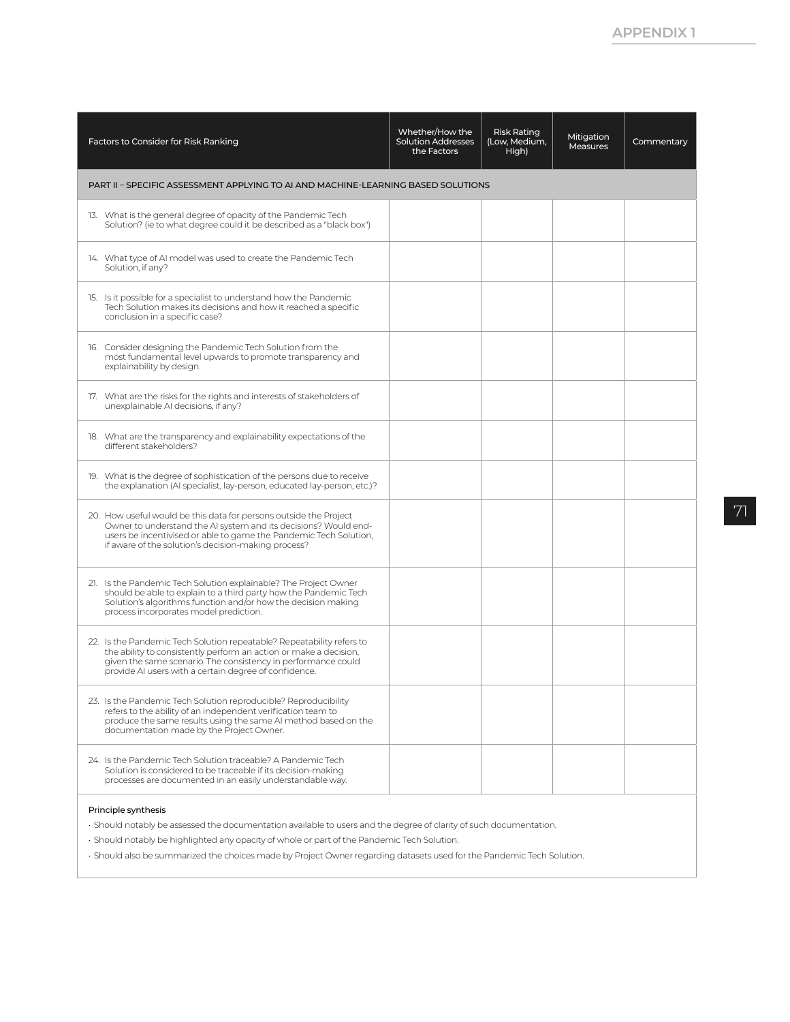| Factors to Consider for Risk Ranking                                                                                                                                                                                                                                 | Whether/How the<br><b>Solution Addresses</b><br>the Factors | <b>Risk Rating</b><br>(Low, Medium,<br>High) | Mitigation<br><b>Measures</b> | Commentary |
|----------------------------------------------------------------------------------------------------------------------------------------------------------------------------------------------------------------------------------------------------------------------|-------------------------------------------------------------|----------------------------------------------|-------------------------------|------------|
| PART II - SPECIFIC ASSESSMENT APPLYING TO AI AND MACHINE-LEARNING BASED SOLUTIONS                                                                                                                                                                                    |                                                             |                                              |                               |            |
| 13. What is the general degree of opacity of the Pandemic Tech<br>Solution? (ie to what degree could it be described as a "black box")                                                                                                                               |                                                             |                                              |                               |            |
| 14. What type of AI model was used to create the Pandemic Tech<br>Solution, if any?                                                                                                                                                                                  |                                                             |                                              |                               |            |
| 15. Is it possible for a specialist to understand how the Pandemic<br>Tech Solution makes its decisions and how it reached a specific<br>conclusion in a specific case?                                                                                              |                                                             |                                              |                               |            |
| 16. Consider designing the Pandemic Tech Solution from the<br>most fundamental level upwards to promote transparency and<br>explainability by design.                                                                                                                |                                                             |                                              |                               |            |
| 17. What are the risks for the rights and interests of stakeholders of<br>unexplainable AI decisions, if any?                                                                                                                                                        |                                                             |                                              |                               |            |
| 18. What are the transparency and explainability expectations of the<br>different stakeholders?                                                                                                                                                                      |                                                             |                                              |                               |            |
| 19. What is the degree of sophistication of the persons due to receive<br>the explanation (AI specialist, lay-person, educated lay-person, etc.)?                                                                                                                    |                                                             |                                              |                               |            |
| 20. How useful would be this data for persons outside the Project<br>Owner to understand the AI system and its decisions? Would end-<br>users be incentivised or able to game the Pandemic Tech Solution,<br>if aware of the solution's decision-making process?     |                                                             |                                              |                               |            |
| 21. Is the Pandemic Tech Solution explainable? The Project Owner<br>should be able to explain to a third party how the Pandemic Tech<br>Solution's algorithms function and/or how the decision making<br>process incorporates model prediction.                      |                                                             |                                              |                               |            |
| 22. Is the Pandemic Tech Solution repeatable? Repeatability refers to<br>the ability to consistently perform an action or make a decision,<br>given the same scenario. The consistency in performance could<br>provide AI users with a certain degree of confidence. |                                                             |                                              |                               |            |
| 23. Is the Pandemic Tech Solution reproducible? Reproducibility<br>refers to the ability of an independent verification team to<br>produce the same results using the same AI method based on the<br>documentation made by the Project Owner.                        |                                                             |                                              |                               |            |
| 24. Is the Pandemic Tech Solution traceable? A Pandemic Tech<br>Solution is considered to be traceable if its decision-making<br>processes are documented in an easily understandable way.                                                                           |                                                             |                                              |                               |            |
| Principle synthesis                                                                                                                                                                                                                                                  |                                                             |                                              |                               |            |

• Should notably be assessed the documentation available to users and the degree of clarity of such documentation.

• Should notably be highlighted any opacity of whole or part of the Pandemic Tech Solution.

• Should also be summarized the choices made by Project Owner regarding datasets used for the Pandemic Tech Solution.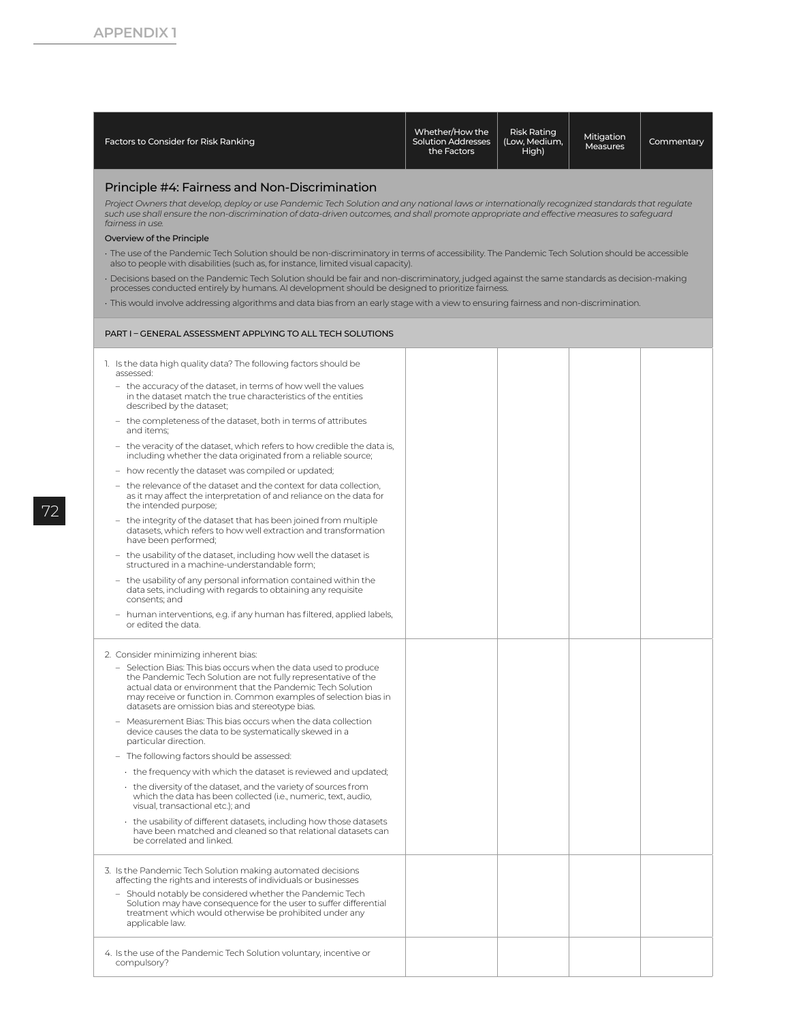| Factors to Consider for Risk Ranking                                                                                                                                                                                                                                                                                                          | Whether/How the<br><b>Solution Addresses</b><br>the Factors | <b>Risk Rating</b><br>(Low, Medium,<br>High) | Mitigation<br><b>Measures</b> | Commentary |
|-----------------------------------------------------------------------------------------------------------------------------------------------------------------------------------------------------------------------------------------------------------------------------------------------------------------------------------------------|-------------------------------------------------------------|----------------------------------------------|-------------------------------|------------|
| Principle #4: Fairness and Non-Discrimination<br>Project Owners that develop, deploy or use Pandemic Tech Solution and any national laws or internationally recognized standards that regulate<br>such use shall ensure the non-discrimination of data-driven outcomes, and shall promote appropriate and effective measures to safequard     |                                                             |                                              |                               |            |
| fairness in use.                                                                                                                                                                                                                                                                                                                              |                                                             |                                              |                               |            |
| Overview of the Principle<br>The use of the Pandemic Tech Solution should be non-discriminatory in terms of accessibility. The Pandemic Tech Solution should be accessible                                                                                                                                                                    |                                                             |                                              |                               |            |
| also to people with disabilities (such as, for instance, limited visual capacity).                                                                                                                                                                                                                                                            |                                                             |                                              |                               |            |
| · Decisions based on the Pandemic Tech Solution should be fair and non-discriminatory, judged against the same standards as decision-making<br>processes conducted entirely by humans. AI development should be designed to prioritize fairness.                                                                                              |                                                             |                                              |                               |            |
| . This would involve addressing algorithms and data bias from an early stage with a view to ensuring fairness and non-discrimination.                                                                                                                                                                                                         |                                                             |                                              |                               |            |
| PART I - GENERAL ASSESSMENT APPLYING TO ALL TECH SOLUTIONS                                                                                                                                                                                                                                                                                    |                                                             |                                              |                               |            |
| 1. Is the data high quality data? The following factors should be                                                                                                                                                                                                                                                                             |                                                             |                                              |                               |            |
| assessed:<br>- the accuracy of the dataset, in terms of how well the values<br>in the dataset match the true characteristics of the entities<br>described by the dataset;                                                                                                                                                                     |                                                             |                                              |                               |            |
| - the completeness of the dataset, both in terms of attributes<br>and items;                                                                                                                                                                                                                                                                  |                                                             |                                              |                               |            |
| - the veracity of the dataset, which refers to how credible the data is,<br>including whether the data originated from a reliable source;                                                                                                                                                                                                     |                                                             |                                              |                               |            |
| - how recently the dataset was compiled or updated;                                                                                                                                                                                                                                                                                           |                                                             |                                              |                               |            |
| - the relevance of the dataset and the context for data collection,<br>as it may affect the interpretation of and reliance on the data for<br>the intended purpose;                                                                                                                                                                           |                                                             |                                              |                               |            |
| - the integrity of the dataset that has been joined from multiple<br>datasets, which refers to how well extraction and transformation<br>have been performed;                                                                                                                                                                                 |                                                             |                                              |                               |            |
| - the usability of the dataset, including how well the dataset is<br>structured in a machine-understandable form;                                                                                                                                                                                                                             |                                                             |                                              |                               |            |
| - the usability of any personal information contained within the<br>data sets, including with regards to obtaining any requisite<br>consents; and                                                                                                                                                                                             |                                                             |                                              |                               |            |
| - human interventions, e.g. if any human has filtered, applied labels,<br>or edited the data.                                                                                                                                                                                                                                                 |                                                             |                                              |                               |            |
| 2. Consider minimizing inherent bias:                                                                                                                                                                                                                                                                                                         |                                                             |                                              |                               |            |
| - Selection Bias: This bias occurs when the data used to produce<br>the Pandemic Tech Solution are not fully representative of the<br>actual data or environment that the Pandemic Tech Solution<br>may receive or function in. Common examples of selection bias in<br>datasets are omission bias and stereotype bias.                       |                                                             |                                              |                               |            |
| - Measurement Bias: This bias occurs when the data collection<br>device causes the data to be systematically skewed in a<br>particular direction.                                                                                                                                                                                             |                                                             |                                              |                               |            |
| - The following factors should be assessed:                                                                                                                                                                                                                                                                                                   |                                                             |                                              |                               |            |
| + the frequency with which the dataset is reviewed and updated;                                                                                                                                                                                                                                                                               |                                                             |                                              |                               |            |
| $\cdot$ the diversity of the dataset, and the variety of sources from<br>which the data has been collected (i.e., numeric, text, audio,<br>visual, transactional etc.); and                                                                                                                                                                   |                                                             |                                              |                               |            |
| • the usability of different datasets, including how those datasets<br>have been matched and cleaned so that relational datasets can<br>be correlated and linked.                                                                                                                                                                             |                                                             |                                              |                               |            |
| 3. Is the Pandemic Tech Solution making automated decisions<br>affecting the rights and interests of individuals or businesses<br>- Should notably be considered whether the Pandemic Tech<br>Solution may have consequence for the user to suffer differential<br>treatment which would otherwise be prohibited under any<br>applicable law. |                                                             |                                              |                               |            |
| 4. Is the use of the Pandemic Tech Solution voluntary, incentive or<br>compulsory?                                                                                                                                                                                                                                                            |                                                             |                                              |                               |            |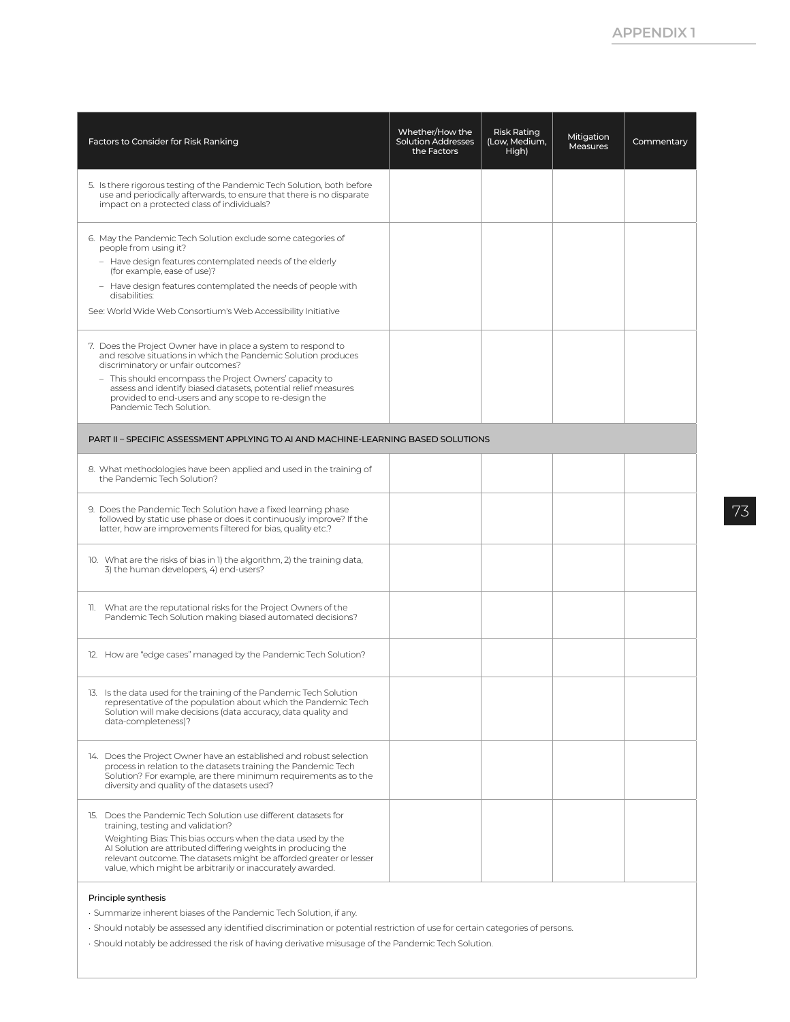| Factors to Consider for Risk Ranking                                                                                                                                                                                                                                                                                                                                                   | Whether/How the<br><b>Solution Addresses</b><br>the Factors | <b>Risk Rating</b><br>(Low, Medium,<br>High) | Mitigation<br><b>Measures</b> | Commentary |
|----------------------------------------------------------------------------------------------------------------------------------------------------------------------------------------------------------------------------------------------------------------------------------------------------------------------------------------------------------------------------------------|-------------------------------------------------------------|----------------------------------------------|-------------------------------|------------|
| 5. Is there rigorous testing of the Pandemic Tech Solution, both before<br>use and periodically afterwards, to ensure that there is no disparate<br>impact on a protected class of individuals?                                                                                                                                                                                        |                                                             |                                              |                               |            |
| 6. May the Pandemic Tech Solution exclude some categories of<br>people from using it?<br>- Have design features contemplated needs of the elderly<br>(for example, ease of use)?<br>- Have design features contemplated the needs of people with<br>disabilities:<br>See: World Wide Web Consortium's Web Accessibility Initiative                                                     |                                                             |                                              |                               |            |
| 7. Does the Project Owner have in place a system to respond to<br>and resolve situations in which the Pandemic Solution produces<br>discriminatory or unfair outcomes?<br>- This should encompass the Project Owners' capacity to<br>assess and identify biased datasets, potential relief measures<br>provided to end-users and any scope to re-design the<br>Pandemic Tech Solution. |                                                             |                                              |                               |            |
| PART II - SPECIFIC ASSESSMENT APPLYING TO AI AND MACHINE-LEARNING BASED SOLUTIONS                                                                                                                                                                                                                                                                                                      |                                                             |                                              |                               |            |
| 8. What methodologies have been applied and used in the training of<br>the Pandemic Tech Solution?                                                                                                                                                                                                                                                                                     |                                                             |                                              |                               |            |
| 9. Does the Pandemic Tech Solution have a fixed learning phase<br>followed by static use phase or does it continuously improve? If the<br>latter, how are improvements filtered for bias, quality etc.?                                                                                                                                                                                |                                                             |                                              |                               |            |
| 10. What are the risks of bias in 1) the algorithm, 2) the training data,<br>3) the human developers, 4) end-users?                                                                                                                                                                                                                                                                    |                                                             |                                              |                               |            |
| 11. What are the reputational risks for the Project Owners of the<br>Pandemic Tech Solution making biased automated decisions?                                                                                                                                                                                                                                                         |                                                             |                                              |                               |            |
| 12. How are "edge cases" managed by the Pandemic Tech Solution?                                                                                                                                                                                                                                                                                                                        |                                                             |                                              |                               |            |
| 13. Is the data used for the training of the Pandemic Tech Solution<br>representative of the population about which the Pandemic Tech<br>Solution will make decisions (data accuracy, data quality and<br>data-completeness)?                                                                                                                                                          |                                                             |                                              |                               |            |
| 14. Does the Project Owner have an established and robust selection<br>process in relation to the datasets training the Pandemic Tech<br>Solution? For example, are there minimum requirements as to the<br>diversity and quality of the datasets used?                                                                                                                                |                                                             |                                              |                               |            |
| 15. Does the Pandemic Tech Solution use different datasets for<br>training, testing and validation?<br>Weighting Bias: This bias occurs when the data used by the<br>Al Solution are attributed differing weights in producing the<br>relevant outcome. The datasets might be afforded greater or lesser<br>value, which might be arbitrarily or inaccurately awarded.                 |                                                             |                                              |                               |            |
| Principle synthesis                                                                                                                                                                                                                                                                                                                                                                    |                                                             |                                              |                               |            |

• Summarize inherent biases of the Pandemic Tech Solution, if any.

• Should notably be assessed any identified discrimination or potential restriction of use for certain categories of persons.

• Should notably be addressed the risk of having derivative misusage of the Pandemic Tech Solution.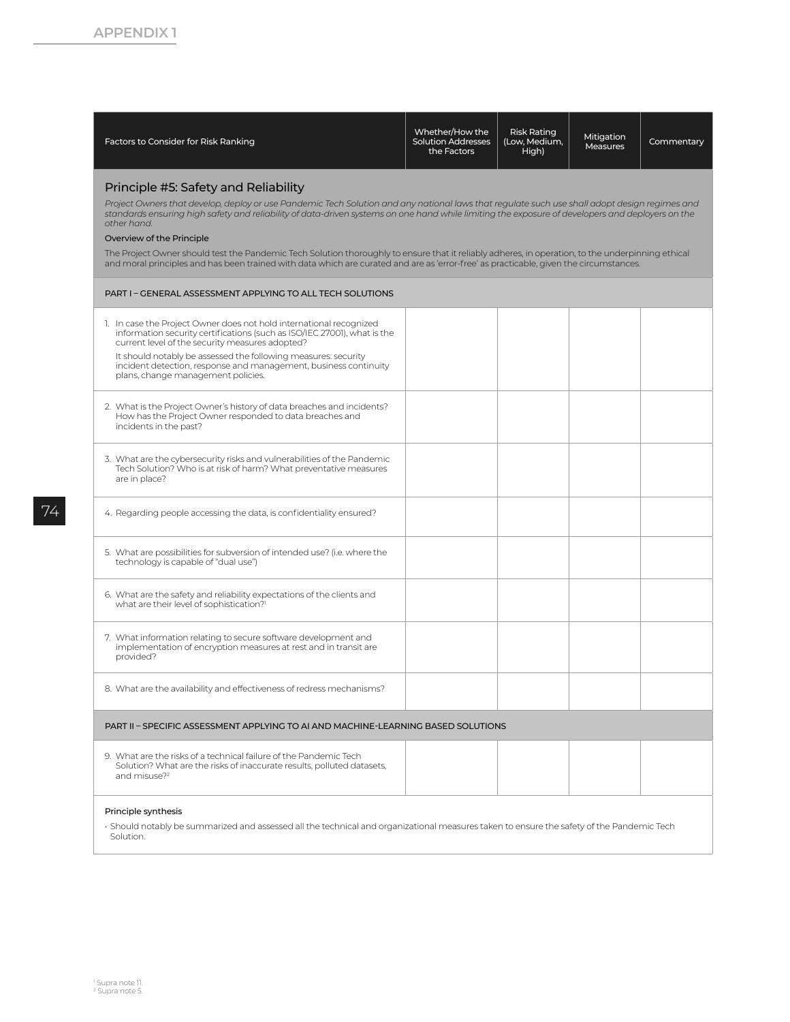| Factors to Consider for Risk Ranking                                                                                                                                                                                                                                                                                                                                                                                                                                                                                                                                                                                                                                                 | Whether/How the<br><b>Solution Addresses</b><br>the Factors | <b>Risk Rating</b><br>(Low, Medium,<br>High) | Mitigation<br>Measures                                                                                                                    | Commentary |  |  |  |
|--------------------------------------------------------------------------------------------------------------------------------------------------------------------------------------------------------------------------------------------------------------------------------------------------------------------------------------------------------------------------------------------------------------------------------------------------------------------------------------------------------------------------------------------------------------------------------------------------------------------------------------------------------------------------------------|-------------------------------------------------------------|----------------------------------------------|-------------------------------------------------------------------------------------------------------------------------------------------|------------|--|--|--|
| Principle #5: Safety and Reliability<br>Project Owners that develop, deploy or use Pandemic Tech Solution and any national laws that regulate such use shall adopt design regimes and<br>standards ensuring high safety and reliability of data-driven systems on one hand while limiting the exposure of developers and deployers on the<br>other hand.<br>Overview of the Principle<br>The Project Owner should test the Pandemic Tech Solution thoroughly to ensure that it reliably adheres, in operation, to the underpinning ethical<br>and moral principles and has been trained with data which are curated and are as 'error-free' as practicable, given the circumstances. |                                                             |                                              |                                                                                                                                           |            |  |  |  |
| PART I - GENERAL ASSESSMENT APPLYING TO ALL TECH SOLUTIONS                                                                                                                                                                                                                                                                                                                                                                                                                                                                                                                                                                                                                           |                                                             |                                              |                                                                                                                                           |            |  |  |  |
| 1. In case the Project Owner does not hold international recognized<br>information security certifications (such as ISO/IEC 27001), what is the<br>current level of the security measures adopted?<br>It should notably be assessed the following measures: security<br>incident detection, response and management, business continuity<br>plans, change management policies.                                                                                                                                                                                                                                                                                                       |                                                             |                                              |                                                                                                                                           |            |  |  |  |
| 2. What is the Project Owner's history of data breaches and incidents?<br>How has the Project Owner responded to data breaches and<br>incidents in the past?                                                                                                                                                                                                                                                                                                                                                                                                                                                                                                                         |                                                             |                                              |                                                                                                                                           |            |  |  |  |
| 3. What are the cybersecurity risks and vulnerabilities of the Pandemic<br>Tech Solution? Who is at risk of harm? What preventative measures<br>are in place?                                                                                                                                                                                                                                                                                                                                                                                                                                                                                                                        |                                                             |                                              |                                                                                                                                           |            |  |  |  |
| 4. Regarding people accessing the data, is confidentiality ensured?                                                                                                                                                                                                                                                                                                                                                                                                                                                                                                                                                                                                                  |                                                             |                                              |                                                                                                                                           |            |  |  |  |
| 5. What are possibilities for subversion of intended use? (i.e. where the<br>technology is capable of "dual use")                                                                                                                                                                                                                                                                                                                                                                                                                                                                                                                                                                    |                                                             |                                              |                                                                                                                                           |            |  |  |  |
| 6. What are the safety and reliability expectations of the clients and<br>what are their level of sophistication?1                                                                                                                                                                                                                                                                                                                                                                                                                                                                                                                                                                   |                                                             |                                              |                                                                                                                                           |            |  |  |  |
| 7. What information relating to secure software development and<br>implementation of encryption measures at rest and in transit are<br>provided?                                                                                                                                                                                                                                                                                                                                                                                                                                                                                                                                     |                                                             |                                              |                                                                                                                                           |            |  |  |  |
| 8. What are the availability and effectiveness of redress mechanisms?                                                                                                                                                                                                                                                                                                                                                                                                                                                                                                                                                                                                                |                                                             |                                              |                                                                                                                                           |            |  |  |  |
| PART II - SPECIFIC ASSESSMENT APPLYING TO AI AND MACHINE-LEARNING BASED SOLUTIONS                                                                                                                                                                                                                                                                                                                                                                                                                                                                                                                                                                                                    |                                                             |                                              |                                                                                                                                           |            |  |  |  |
| 9. What are the risks of a technical failure of the Pandemic Tech<br>Solution? What are the risks of inaccurate results, polluted datasets,<br>and misuse? <sup>2</sup>                                                                                                                                                                                                                                                                                                                                                                                                                                                                                                              |                                                             |                                              |                                                                                                                                           |            |  |  |  |
| Principle synthesis<br>Solution.                                                                                                                                                                                                                                                                                                                                                                                                                                                                                                                                                                                                                                                     |                                                             |                                              | · Should notably be summarized and assessed all the technical and organizational measures taken to ensure the safety of the Pandemic Tech |            |  |  |  |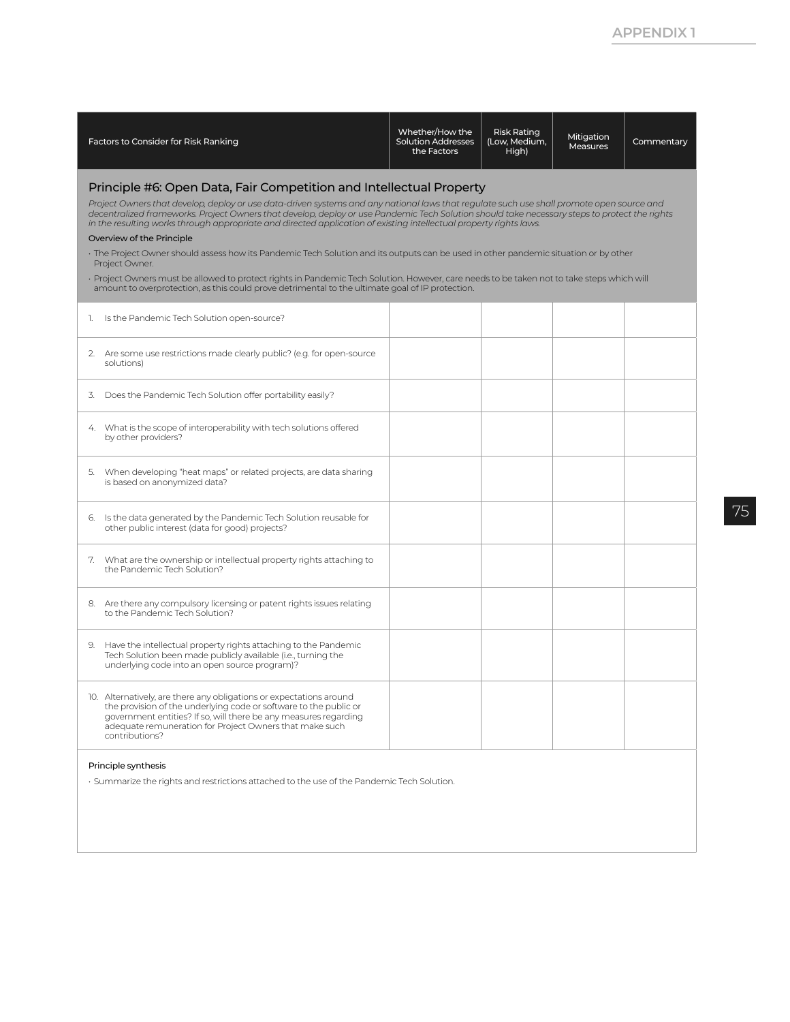| Factors to Consider for Risk Ranking                                                                                                                                                                                                                                                                                                                              | Whether/How the<br><b>Solution Addresses</b><br>the Factors | <b>Risk Rating</b><br>(Low, Medium,<br>High) | Mitigation<br>Measures | Commentary |
|-------------------------------------------------------------------------------------------------------------------------------------------------------------------------------------------------------------------------------------------------------------------------------------------------------------------------------------------------------------------|-------------------------------------------------------------|----------------------------------------------|------------------------|------------|
| Principle #6: Open Data, Fair Competition and Intellectual Property<br>Project Owners that develop, deploy or use data-driven systems and any national laws that requlate such use shall promote open source and<br>decentralized frameworks. Project Owners that develop, deploy or use Pandemic Tech Solution should take necessary steps to protect the rights |                                                             |                                              |                        |            |
| in the resulting works through appropriate and directed application of existing intellectual property rights laws.<br>Overview of the Principle                                                                                                                                                                                                                   |                                                             |                                              |                        |            |
| · The Project Owner should assess how its Pandemic Tech Solution and its outputs can be used in other pandemic situation or by other<br>Project Owner.                                                                                                                                                                                                            |                                                             |                                              |                        |            |
| · Project Owners must be allowed to protect rights in Pandemic Tech Solution. However, care needs to be taken not to take steps which will<br>amount to overprotection, as this could prove detrimental to the ultimate goal of IP protection.                                                                                                                    |                                                             |                                              |                        |            |
| 1. Is the Pandemic Tech Solution open-source?                                                                                                                                                                                                                                                                                                                     |                                                             |                                              |                        |            |
| 2. Are some use restrictions made clearly public? (e.g. for open-source<br>solutions)                                                                                                                                                                                                                                                                             |                                                             |                                              |                        |            |
| Does the Pandemic Tech Solution offer portability easily?<br>3.                                                                                                                                                                                                                                                                                                   |                                                             |                                              |                        |            |
| 4. What is the scope of interoperability with tech solutions offered<br>by other providers?                                                                                                                                                                                                                                                                       |                                                             |                                              |                        |            |
| When developing "heat maps" or related projects, are data sharing<br>5.<br>is based on anonymized data?                                                                                                                                                                                                                                                           |                                                             |                                              |                        |            |
| 6. Is the data generated by the Pandemic Tech Solution reusable for<br>other public interest (data for good) projects?                                                                                                                                                                                                                                            |                                                             |                                              |                        |            |
| 7. What are the ownership or intellectual property rights attaching to<br>the Pandemic Tech Solution?                                                                                                                                                                                                                                                             |                                                             |                                              |                        |            |
| 8. Are there any compulsory licensing or patent rights issues relating<br>to the Pandemic Tech Solution?                                                                                                                                                                                                                                                          |                                                             |                                              |                        |            |
| Have the intellectual property rights attaching to the Pandemic<br>9.<br>Tech Solution been made publicly available (i.e., turning the<br>underlying code into an open source program)?                                                                                                                                                                           |                                                             |                                              |                        |            |
| 10. Alternatively, are there any obligations or expectations around<br>the provision of the underlying code or software to the public or<br>government entities? If so, will there be any measures regarding<br>adequate remuneration for Project Owners that make such<br>contributions?                                                                         |                                                             |                                              |                        |            |
| Principle synthesis<br>. Summarize the rights and restrictions attached to the use of the Pandemic Tech Solution.                                                                                                                                                                                                                                                 |                                                             |                                              |                        |            |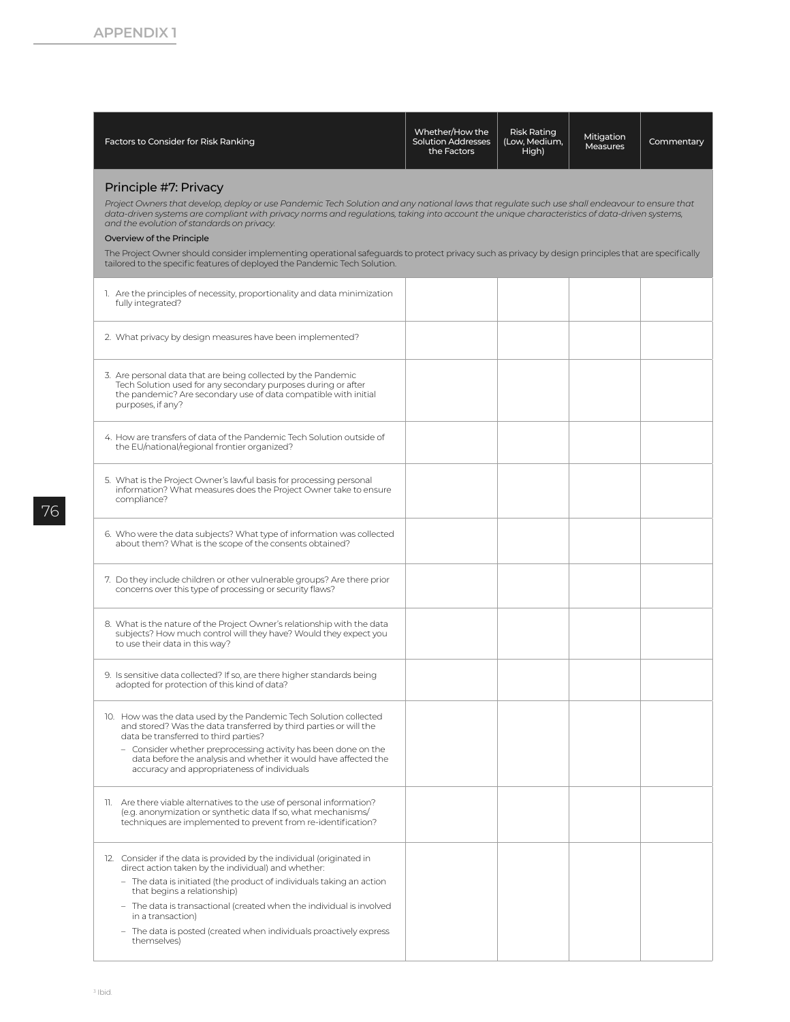| Factors to Consider for Risk Ranking                                                                                                                                                                                                                                                                                                                                                                                                                                                                                                                                                                                                  | Whether/How the<br><b>Solution Addresses</b><br>the Factors | <b>Risk Rating</b><br>(Low, Medium,<br>High) | Mitigation<br><b>Measures</b> | Commentary |  |  |  |  |
|---------------------------------------------------------------------------------------------------------------------------------------------------------------------------------------------------------------------------------------------------------------------------------------------------------------------------------------------------------------------------------------------------------------------------------------------------------------------------------------------------------------------------------------------------------------------------------------------------------------------------------------|-------------------------------------------------------------|----------------------------------------------|-------------------------------|------------|--|--|--|--|
| Principle #7: Privacy<br>Project Owners that develop, deploy or use Pandemic Tech Solution and any national laws that requlate such use shall endeavour to ensure that<br>data-driven systems are compliant with privacy norms and regulations, taking into account the unique characteristics of data-driven systems,<br>and the evolution of standards on privacy.<br>Overview of the Principle<br>The Project Owner should consider implementing operational safeguards to protect privacy such as privacy by design principles that are specifically<br>tailored to the specific features of deployed the Pandemic Tech Solution. |                                                             |                                              |                               |            |  |  |  |  |
| 1. Are the principles of necessity, proportionality and data minimization<br>fully integrated?                                                                                                                                                                                                                                                                                                                                                                                                                                                                                                                                        |                                                             |                                              |                               |            |  |  |  |  |
| 2. What privacy by design measures have been implemented?                                                                                                                                                                                                                                                                                                                                                                                                                                                                                                                                                                             |                                                             |                                              |                               |            |  |  |  |  |
| 3. Are personal data that are being collected by the Pandemic<br>Tech Solution used for any secondary purposes during or after<br>the pandemic? Are secondary use of data compatible with initial<br>purposes, if any?                                                                                                                                                                                                                                                                                                                                                                                                                |                                                             |                                              |                               |            |  |  |  |  |
| 4. How are transfers of data of the Pandemic Tech Solution outside of<br>the EU/national/regional frontier organized?                                                                                                                                                                                                                                                                                                                                                                                                                                                                                                                 |                                                             |                                              |                               |            |  |  |  |  |
| 5. What is the Project Owner's lawful basis for processing personal<br>information? What measures does the Project Owner take to ensure<br>compliance?                                                                                                                                                                                                                                                                                                                                                                                                                                                                                |                                                             |                                              |                               |            |  |  |  |  |
| 6. Who were the data subjects? What type of information was collected<br>about them? What is the scope of the consents obtained?                                                                                                                                                                                                                                                                                                                                                                                                                                                                                                      |                                                             |                                              |                               |            |  |  |  |  |
| 7. Do they include children or other vulnerable groups? Are there prior<br>concerns over this type of processing or security flaws?                                                                                                                                                                                                                                                                                                                                                                                                                                                                                                   |                                                             |                                              |                               |            |  |  |  |  |
| 8. What is the nature of the Project Owner's relationship with the data<br>subjects? How much control will they have? Would they expect you<br>to use their data in this way?                                                                                                                                                                                                                                                                                                                                                                                                                                                         |                                                             |                                              |                               |            |  |  |  |  |
| 9. Is sensitive data collected? If so, are there higher standards being<br>adopted for protection of this kind of data?                                                                                                                                                                                                                                                                                                                                                                                                                                                                                                               |                                                             |                                              |                               |            |  |  |  |  |
| 10. How was the data used by the Pandemic Tech Solution collected<br>and stored? Was the data transferred by third parties or will the<br>data be transferred to third parties?<br>- Consider whether preprocessing activity has been done on the<br>data before the analysis and whether it would have affected the<br>accuracy and appropriateness of individuals                                                                                                                                                                                                                                                                   |                                                             |                                              |                               |            |  |  |  |  |
| 11. Are there viable alternatives to the use of personal information?<br>(e.g. anonymization or synthetic data If so, what mechanisms/<br>techniques are implemented to prevent from re-identification?                                                                                                                                                                                                                                                                                                                                                                                                                               |                                                             |                                              |                               |            |  |  |  |  |
| 12. Consider if the data is provided by the individual (originated in<br>direct action taken by the individual) and whether:<br>- The data is initiated (the product of individuals taking an action<br>that begins a relationship)<br>- The data is transactional (created when the individual is involved<br>in a transaction)<br>- The data is posted (created when individuals proactively express<br>themselves)                                                                                                                                                                                                                 |                                                             |                                              |                               |            |  |  |  |  |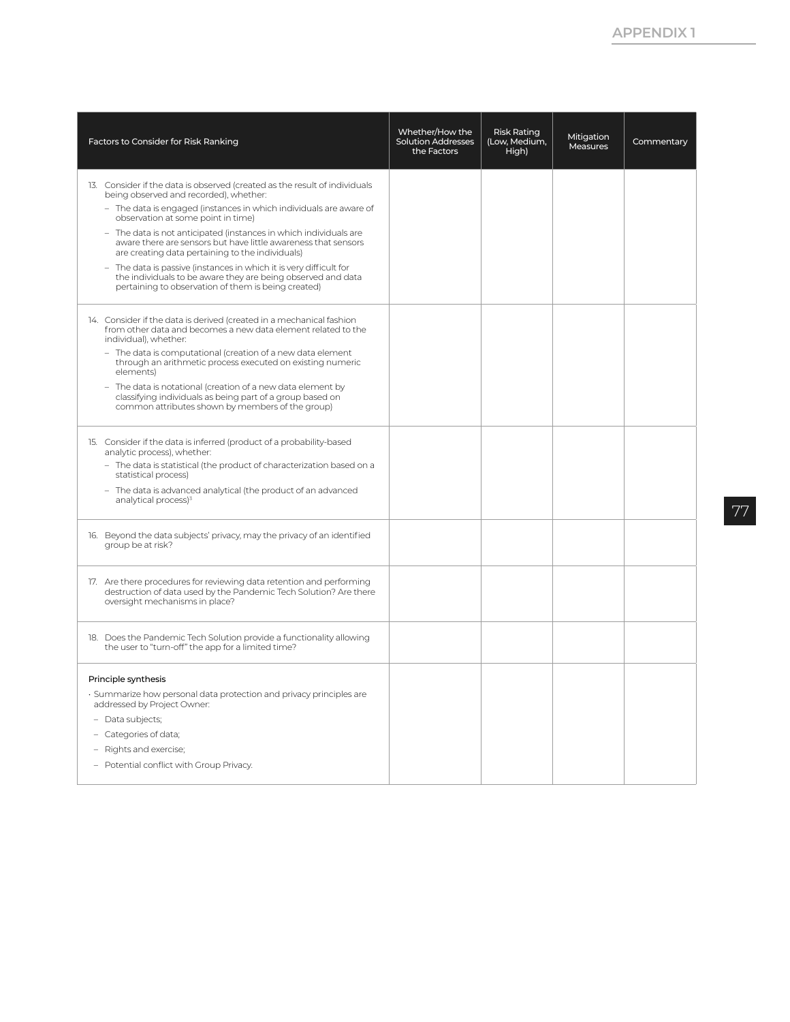| Factors to Consider for Risk Ranking                                                                                                                                                                                                                                                                                                                                                                                                                                                                                                                                                                                     | Whether/How the<br><b>Solution Addresses</b><br>the Factors | <b>Risk Rating</b><br>(Low, Medium,<br>High) | Mitigation<br>Measures | Commentary |
|--------------------------------------------------------------------------------------------------------------------------------------------------------------------------------------------------------------------------------------------------------------------------------------------------------------------------------------------------------------------------------------------------------------------------------------------------------------------------------------------------------------------------------------------------------------------------------------------------------------------------|-------------------------------------------------------------|----------------------------------------------|------------------------|------------|
| 13. Consider if the data is observed (created as the result of individuals<br>being observed and recorded), whether:<br>- The data is engaged (instances in which individuals are aware of<br>observation at some point in time)<br>- The data is not anticipated (instances in which individuals are<br>aware there are sensors but have little awareness that sensors<br>are creating data pertaining to the individuals)<br>- The data is passive (instances in which it is very difficult for<br>the individuals to be aware they are being observed and data<br>pertaining to observation of them is being created) |                                                             |                                              |                        |            |
| 14. Consider if the data is derived (created in a mechanical fashion<br>from other data and becomes a new data element related to the<br>individual), whether:<br>- The data is computational (creation of a new data element<br>through an arithmetic process executed on existing numeric<br>elements)<br>- The data is notational (creation of a new data element by<br>classifying individuals as being part of a group based on<br>common attributes shown by members of the group)                                                                                                                                 |                                                             |                                              |                        |            |
| 15. Consider if the data is inferred (product of a probability-based<br>analytic process), whether:<br>- The data is statistical (the product of characterization based on a<br>statistical process)<br>- The data is advanced analytical (the product of an advanced<br>analytical process) <sup>3</sup>                                                                                                                                                                                                                                                                                                                |                                                             |                                              |                        |            |
| 16. Beyond the data subjects' privacy, may the privacy of an identified<br>group be at risk?                                                                                                                                                                                                                                                                                                                                                                                                                                                                                                                             |                                                             |                                              |                        |            |
| 17. Are there procedures for reviewing data retention and performing<br>destruction of data used by the Pandemic Tech Solution? Are there<br>oversight mechanisms in place?                                                                                                                                                                                                                                                                                                                                                                                                                                              |                                                             |                                              |                        |            |
| 18. Does the Pandemic Tech Solution provide a functionality allowing<br>the user to "turn-off" the app for a limited time?                                                                                                                                                                                                                                                                                                                                                                                                                                                                                               |                                                             |                                              |                        |            |
| Principle synthesis<br>· Summarize how personal data protection and privacy principles are<br>addressed by Project Owner:<br>- Data subjects;<br>- Categories of data;<br>- Rights and exercise;<br>- Potential conflict with Group Privacy.                                                                                                                                                                                                                                                                                                                                                                             |                                                             |                                              |                        |            |